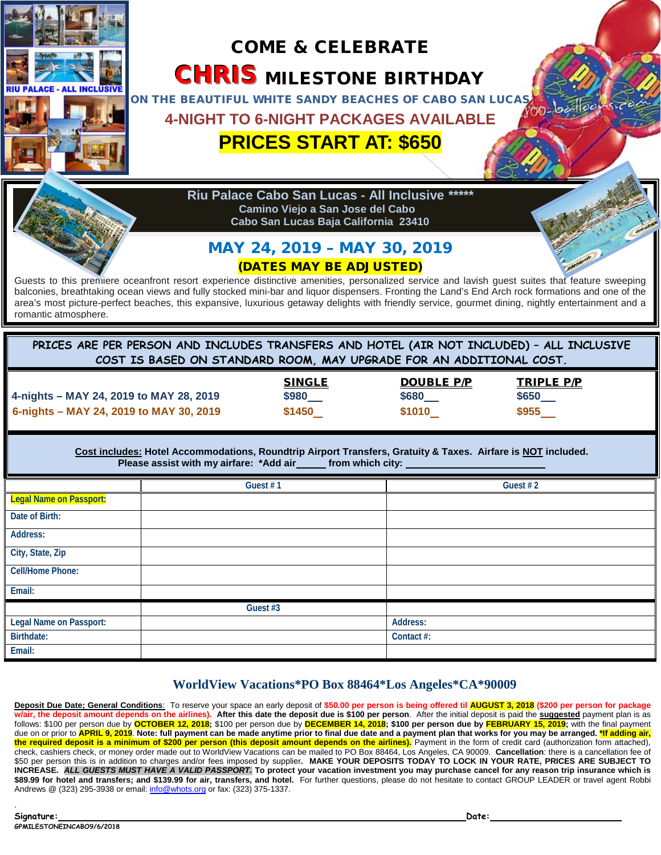

## **WorldView Vacations\*PO Box 88464\*Los Angeles\*CA\*90009**

**Deposit Due Date; General Conditions**: To reserve your space an early deposit of **\$50.00 per person is being offered til AUGUST 3, 2018 (\$200 per person for package w/air, the deposit amount depends on the airlines). After this date the deposit due is \$100 per person**. After the initial deposit is paid the **suggested** payment plan is as follows: \$100 per person due by **OCTOBER 12, 2018;** \$100 per person due by **DECEMBER 14, 2018; \$100 per person due by FEBRUARY 15, 2019;** with the final payment due on or prior to **APRIL 9, 2019**. **Note: full payment can be made anytime prior to final due date and a payment plan that works for you may be arranged. \*If adding air, the required deposit is a minimum of \$200 per person (this deposit amount depends on the airlines).** Payment in the form of credit card (authorization form attached), check, cashiers check, or money order made out to WorldView Vacations can be mailed to PO Box 88464, Los Angeles, CA 90009. **Cancellation**: there is a cancellation fee of \$50 per person this is in addition to charges and/or fees imposed by supplier**. MAKE YOUR DEPOSITS TODAY TO LOCK IN YOUR RATE, PRICES ARE SUBJECT TO INCREASE.** *ALL GUESTS MUST HAVE A VALID PASSPORT.* **To protect your vacation investment you may purchase cancel for any reason trip insurance which is**  \$89.99 for hotel and transfers; and \$139.99 for air, transfers, and hotel. For further questions, please do not hesitate to contact GROUP LEADER or travel agent Robbi Andrews @ (323) 295-3938 or email[: info@whots.org](mailto:info@whots.org) or fax: (323) 375-1337.

**Email:**

.